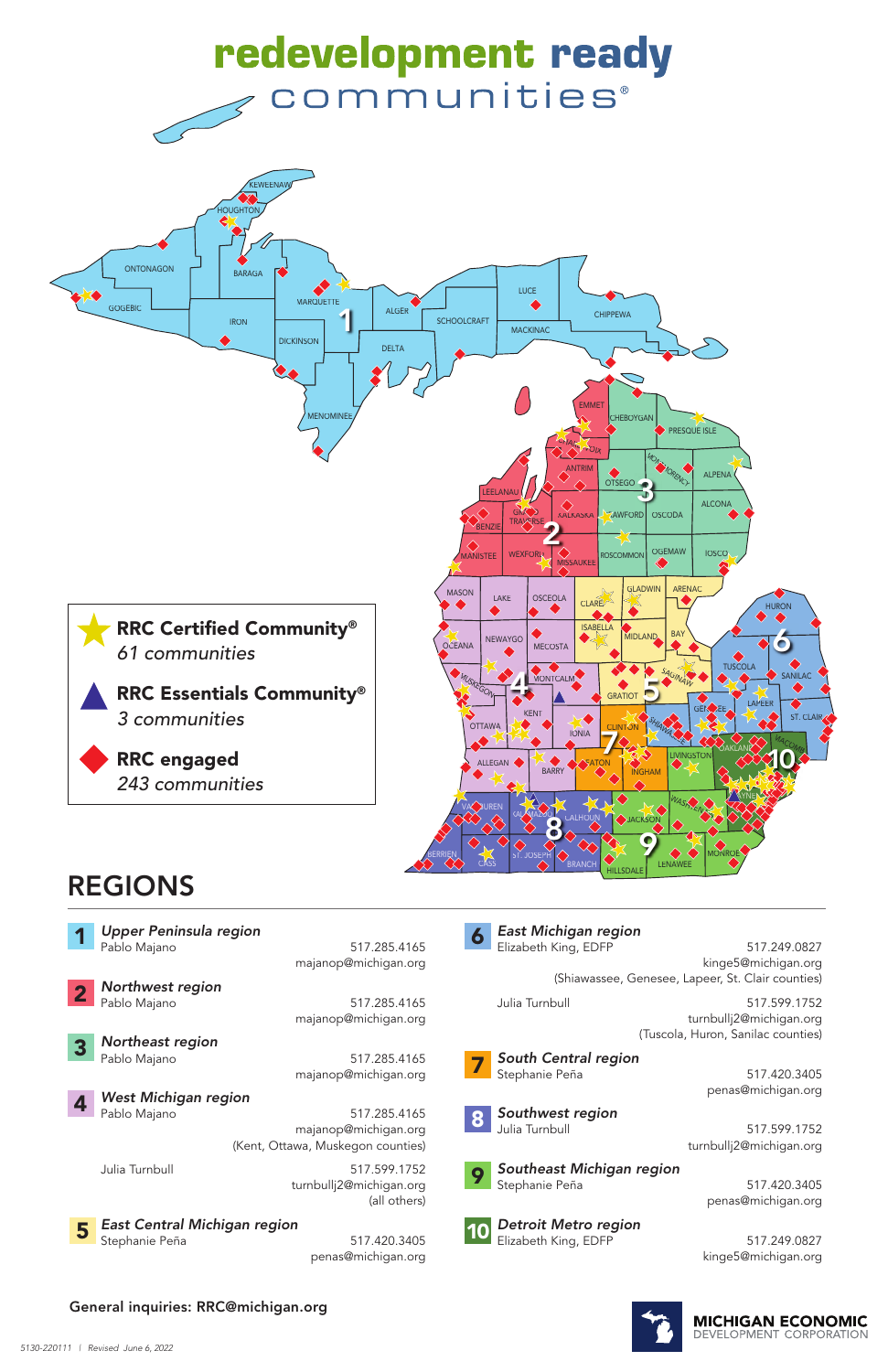

Pablo Majano 617.285.4165 majanop@michigan.org

Pablo Majano 517.285.4165 majanop@michigan.org (Kent, Ottawa, Muskegon counties)

Elizabeth King, EDFP 517.249.0827 kinge5@michigan.org (Shiawassee, Genesee, Lapeer, St. Clair counties)

*Detroit Metro region*  Elizabeth King, EDFP 517.249.0827

majanop@michigan.org



*Northeast region*

Julia Turnbull 517.599.1752 turnbullj2@michigan.org (all others)

penas@michigan.org

*Upper Peninsula region* Pablo Majano 517.285.4165 1



Julia Turnbull 517.599.1752



turnbullj2@michigan.org (Tuscola, Huron, Sanilac counties)



*East Michigan region* 6

penas@michigan.org

*Southwest region*

Julia Turnbull 517.599.1752 turnbullj2@michigan.org

*Southeast Michigan region*



Stephanie Peña 517.420.3405 penas@michigan.org

kinge5@michigan.org



# REGIONS



3



General inquiries: RRC@michigan.org